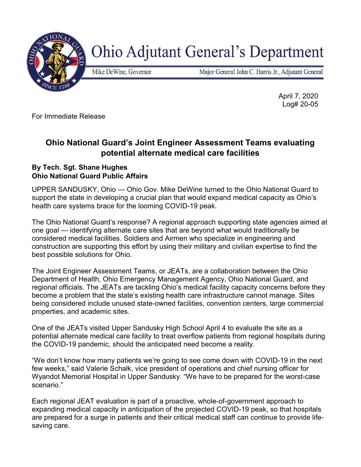

**Ohio Adjutant General's Department** 

Mike DeWine, Governor

Major General John C. Harris Jr., Adjutant General

 April 7, 2020 Log# 20-05

For Immediate Release

## Ohio National Guard's Joint Engineer Assessment Teams evaluating potential alternate medical care facilities

## By Tech. Sgt. Shane Hughes Ohio National Guard Public Affairs

UPPER SANDUSKY, Ohio — Ohio Gov. Mike DeWine turned to the Ohio National Guard to support the state in developing a crucial plan that would expand medical capacity as Ohio's health care systems brace for the looming COVID-19 peak.

The Ohio National Guard's response? A regional approach supporting state agencies aimed at one goal — identifying alternate care sites that are beyond what would traditionally be considered medical facilities. Soldiers and Airmen who specialize in engineering and construction are supporting this effort by using their military and civilian expertise to find the best possible solutions for Ohio.

The Joint Engineer Assessment Teams, or JEATs, are a collaboration between the Ohio Department of Health, Ohio Emergency Management Agency, Ohio National Guard, and regional officials. The JEATs are tackling Ohio's medical facility capacity concerns before they become a problem that the state's existing health care infrastructure cannot manage. Sites being considered include unused state-owned facilities, convention centers, large commercial properties, and academic sites.

One of the JEATs visited Upper Sandusky High School April 4 to evaluate the site as a potential alternate medical care facility to treat overflow patients from regional hospitals during the COVID-19 pandemic, should the anticipated need become a reality.

"We don't know how many patients we're going to see come down with COVID-19 in the next few weeks," said Valerie Schalk, vice president of operations and chief nursing officer for Wyandot Memorial Hospital in Upper Sandusky. "We have to be prepared for the worst-case scenario."

Each regional JEAT evaluation is part of a proactive, whole-of-government approach to expanding medical capacity in anticipation of the projected COVID-19 peak, so that hospitals are prepared for a surge in patients and their critical medical staff can continue to provide lifesaving care.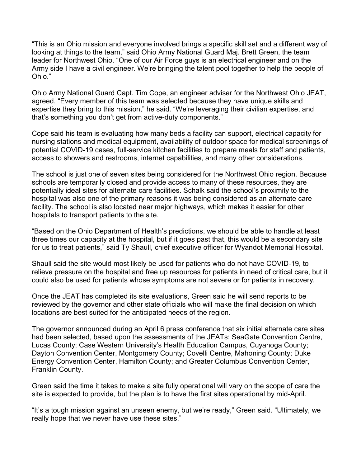"This is an Ohio mission and everyone involved brings a specific skill set and a different way of looking at things to the team," said Ohio Army National Guard Maj. Brett Green, the team leader for Northwest Ohio. "One of our Air Force guys is an electrical engineer and on the Army side I have a civil engineer. We're bringing the talent pool together to help the people of Ohio."

Ohio Army National Guard Capt. Tim Cope, an engineer adviser for the Northwest Ohio JEAT, agreed. "Every member of this team was selected because they have unique skills and expertise they bring to this mission," he said. "We're leveraging their civilian expertise, and that's something you don't get from active-duty components."

Cope said his team is evaluating how many beds a facility can support, electrical capacity for nursing stations and medical equipment, availability of outdoor space for medical screenings of potential COVID-19 cases, full-service kitchen facilities to prepare meals for staff and patients, access to showers and restrooms, internet capabilities, and many other considerations.

The school is just one of seven sites being considered for the Northwest Ohio region. Because schools are temporarily closed and provide access to many of these resources, they are potentially ideal sites for alternate care facilities. Schalk said the school's proximity to the hospital was also one of the primary reasons it was being considered as an alternate care facility. The school is also located near major highways, which makes it easier for other hospitals to transport patients to the site.

"Based on the Ohio Department of Health's predictions, we should be able to handle at least three times our capacity at the hospital, but if it goes past that, this would be a secondary site for us to treat patients," said Ty Shaull, chief executive officer for Wyandot Memorial Hospital.

Shaull said the site would most likely be used for patients who do not have COVID-19, to relieve pressure on the hospital and free up resources for patients in need of critical care, but it could also be used for patients whose symptoms are not severe or for patients in recovery.

Once the JEAT has completed its site evaluations, Green said he will send reports to be reviewed by the governor and other state officials who will make the final decision on which locations are best suited for the anticipated needs of the region.

The governor announced during an April 6 press conference that six initial alternate care sites had been selected, based upon the assessments of the JEATs: SeaGate Convention Centre, Lucas County; Case Western University's Health Education Campus, Cuyahoga County; Dayton Convention Center, Montgomery County; Covelli Centre, Mahoning County; Duke Energy Convention Center, Hamilton County; and Greater Columbus Convention Center, Franklin County.

Green said the time it takes to make a site fully operational will vary on the scope of care the site is expected to provide, but the plan is to have the first sites operational by mid-April.

"It's a tough mission against an unseen enemy, but we're ready," Green said. "Ultimately, we really hope that we never have use these sites."